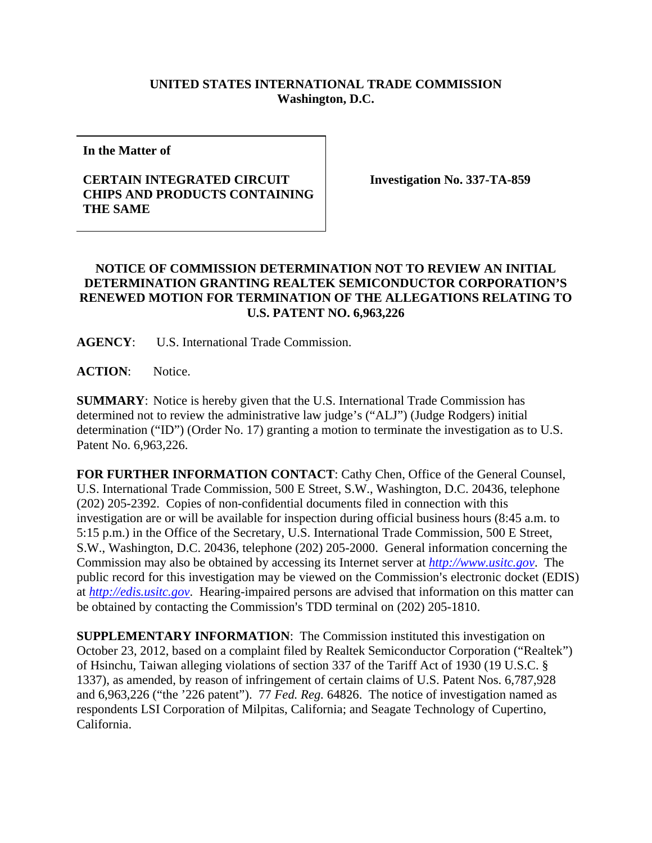## **UNITED STATES INTERNATIONAL TRADE COMMISSION Washington, D.C.**

**In the Matter of** 

## **CERTAIN INTEGRATED CIRCUIT CHIPS AND PRODUCTS CONTAINING THE SAME**

**Investigation No. 337-TA-859** 

## **NOTICE OF COMMISSION DETERMINATION NOT TO REVIEW AN INITIAL DETERMINATION GRANTING REALTEK SEMICONDUCTOR CORPORATION'S RENEWED MOTION FOR TERMINATION OF THE ALLEGATIONS RELATING TO U.S. PATENT NO. 6,963,226**

**AGENCY**: U.S. International Trade Commission.

**ACTION**: Notice.

**SUMMARY**: Notice is hereby given that the U.S. International Trade Commission has determined not to review the administrative law judge's ("ALJ") (Judge Rodgers) initial determination ("ID") (Order No. 17) granting a motion to terminate the investigation as to U.S. Patent No. 6,963,226.

**FOR FURTHER INFORMATION CONTACT**: Cathy Chen, Office of the General Counsel, U.S. International Trade Commission, 500 E Street, S.W., Washington, D.C. 20436, telephone (202) 205-2392. Copies of non-confidential documents filed in connection with this investigation are or will be available for inspection during official business hours (8:45 a.m. to 5:15 p.m.) in the Office of the Secretary, U.S. International Trade Commission, 500 E Street, S.W., Washington, D.C. 20436, telephone (202) 205-2000. General information concerning the Commission may also be obtained by accessing its Internet server at *http://www.usitc.gov*. The public record for this investigation may be viewed on the Commission's electronic docket (EDIS) at *http://edis.usitc.gov*. Hearing-impaired persons are advised that information on this matter can be obtained by contacting the Commission's TDD terminal on (202) 205-1810.

**SUPPLEMENTARY INFORMATION:** The Commission instituted this investigation on October 23, 2012, based on a complaint filed by Realtek Semiconductor Corporation ("Realtek") of Hsinchu, Taiwan alleging violations of section 337 of the Tariff Act of 1930 (19 U.S.C. § 1337), as amended, by reason of infringement of certain claims of U.S. Patent Nos. 6,787,928 and 6,963,226 ("the '226 patent"). 77 *Fed. Reg.* 64826. The notice of investigation named as respondents LSI Corporation of Milpitas, California; and Seagate Technology of Cupertino, California.